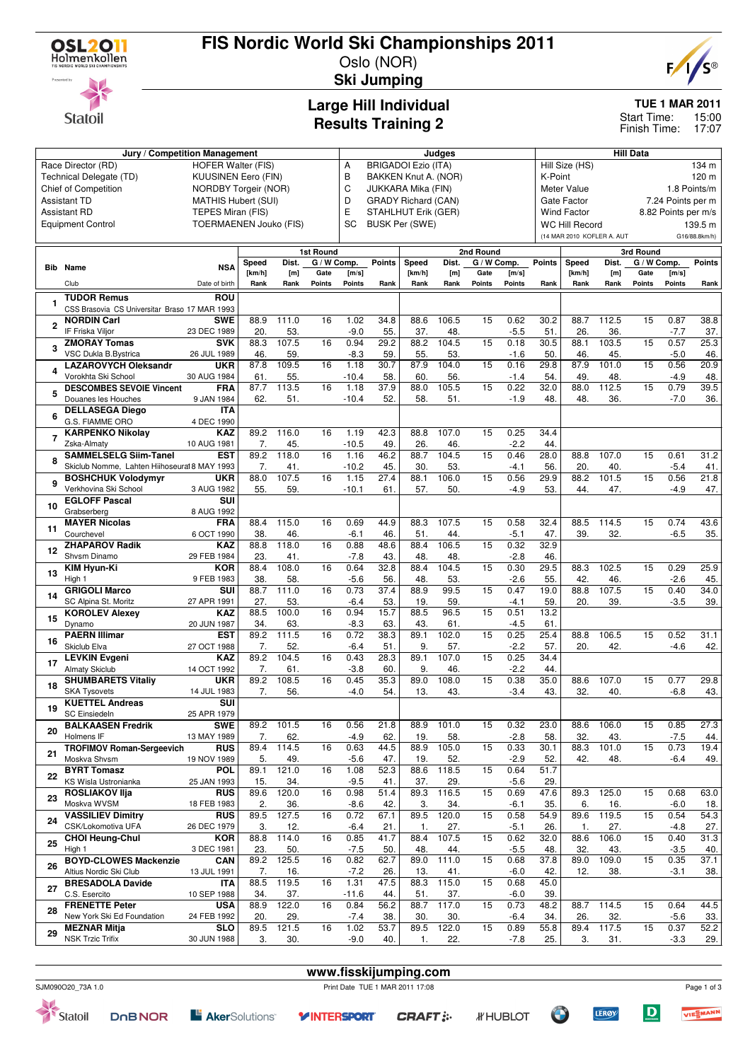

**Statoil** 

## **FIS Nordic World Ski Championships 2011**

Oslo (NOR)



**Ski Jumping**

#### **Large Hill Individual Results Training 2**

### **TUE 1 MAR 2011**

15:00 Finish Time: 17:07 Start Time:

|                | Jury / Competition Management                                       |                               | Judges      |              |             |                           |               |                            | <b>Hill Data</b> |                 |                |                             |                            |              |                 |                     |               |  |
|----------------|---------------------------------------------------------------------|-------------------------------|-------------|--------------|-------------|---------------------------|---------------|----------------------------|------------------|-----------------|----------------|-----------------------------|----------------------------|--------------|-----------------|---------------------|---------------|--|
|                | Race Director (RD)                                                  | <b>HOFER Walter (FIS)</b>     |             |              |             | Α                         |               | <b>BRIGADOI Ezio (ITA)</b> |                  |                 |                | Hill Size (HS)<br>134 m     |                            |              |                 |                     |               |  |
|                | Technical Delegate (TD)                                             | <b>KUUSINEN Eero (FIN)</b>    |             |              |             | B<br>BAKKEN Knut A. (NOR) |               |                            |                  |                 |                |                             | K-Point<br>120 m           |              |                 |                     |               |  |
|                | Chief of Competition                                                | NORDBY Torgeir (NOR)          |             |              |             | C                         |               | JUKKARA Mika (FIN)         |                  |                 |                | 1.8 Points/m<br>Meter Value |                            |              |                 |                     |               |  |
|                | <b>Assistant TD</b>                                                 | <b>MATHIS Hubert (SUI)</b>    |             |              |             | D                         |               | <b>GRADY Richard (CAN)</b> |                  |                 |                |                             | Gate Factor                |              |                 | 7.24 Points per m   |               |  |
|                | <b>Assistant RD</b>                                                 | TEPES Miran (FIS)             |             |              |             | E                         |               | STAHLHUT Erik (GER)        |                  |                 |                |                             | <b>Wind Factor</b>         |              |                 | 8.82 Points per m/s |               |  |
|                | <b>Equipment Control</b>                                            | <b>TOERMAENEN Jouko (FIS)</b> |             |              |             | SC                        |               | <b>BUSK Per (SWE)</b>      |                  |                 |                |                             | <b>WC Hill Record</b>      |              |                 |                     | 139.5 m       |  |
|                |                                                                     |                               |             |              |             |                           |               |                            |                  |                 |                |                             | (14 MAR 2010 KOFLER A. AUT |              |                 |                     | G16/88.8km/h) |  |
|                |                                                                     |                               |             |              | 1st Round   |                           |               |                            |                  | 2nd Round       |                |                             |                            |              | 3rd Round       |                     |               |  |
|                | <b>Bib</b> Name                                                     | <b>NSA</b>                    | Speed       | Dist.        | G / W Comp. |                           | <b>Points</b> | Speed                      | Dist.            | G / W Comp.     |                | <b>Points</b>               | Speed                      | Dist.        | G / W Comp.     |                     | Points        |  |
|                |                                                                     |                               | [km/h]      | [m]          | Gate        | [m/s]                     |               | [km/h]                     | [m]              | Gate            | [m/s]          |                             | [km/h]                     | [m]          | Gate            | [m/s]               |               |  |
|                | Club                                                                | Date of birth                 | Rank        | Rank         | Points      | Points                    | Rank          | Rank                       | Rank             | <b>Points</b>   | Points         | Rank                        | Rank                       | Rank         | Points          | Points              | Rank          |  |
| 1              | <b>TUDOR Remus</b>                                                  | ROU                           |             |              |             |                           |               |                            |                  |                 |                |                             |                            |              |                 |                     |               |  |
|                | CSS Brasovia CS Universitar Braso 17 MAR 1993<br><b>NORDIN Carl</b> |                               | 88.9        |              |             |                           |               |                            |                  |                 |                |                             | 88.7                       |              | 15              |                     |               |  |
| $\mathbf{2}$   | IF Friska Viljor                                                    | <b>SWE</b><br>23 DEC 1989     | 20.         | 111.0<br>53. | 16          | 1.02<br>$-9.0$            | 34.8<br>55.   | 88.6<br>37.                | 106.5<br>48.     | 15              | 0.62<br>$-5.5$ | 30.2<br>51                  | 26                         | 112.5<br>36. |                 | 0.87<br>$-7.7$      | 38.8<br>37.   |  |
|                | <b>ZMORAY Tomas</b>                                                 | <b>SVK</b>                    | 88.3        | 107.5        | 16          | 0.94                      | 29.2          | 88.2                       | 104.5            | $\overline{15}$ | 0.18           | 30.5                        | 88.1                       | 103.5        | $\overline{15}$ | 0.57                | 25.3          |  |
| 3              | VSC Dukla B.Bystrica                                                | 26 JUL 1989                   | 46.         | 59.          |             | $-8.3$                    | 59            | 55                         | 53.              |                 | $-1.6$         | 50                          | 46                         | 45.          |                 | $-5.0$              | 46.           |  |
|                | <b>LAZAROVYCH Oleksandr</b>                                         | <b>UKR</b>                    | 87.8        | 109.5        | 16          | 1.18                      | 30.7          | 87.9                       | 104.0            | 15              | 0.16           | 29.8                        | 87.9                       | 101.0        | 15              | 0.56                | 20.9          |  |
| 4              | Vorokhta Ski School                                                 | 30 AUG 1984                   | 61.         | 55.          |             | $-10.4$                   | 58            | 60                         | 56.              |                 | $-1.4$         | 54.                         | 49                         | 48.          |                 | $-4.9$              | 48.           |  |
| 5              | <b>DESCOMBES SEVOIE Vincent</b>                                     | <b>FRA</b>                    | 87.7        | 113.5        | 16          | 1.18                      | 37.9          | 88.0                       | 105.5            | 15              | 0.22           | 32.0                        | 88.0                       | 112.5        | 15              | 0.79                | 39.5          |  |
|                | Douanes les Houches                                                 | 9 JAN 1984                    | 62.         | 51.          |             | $-10.4$                   | 52.           | 58.                        | 51.              |                 | $-1.9$         | 48.                         | 48.                        | 36.          |                 | $-7.0$              | 36.           |  |
| 6              | <b>DELLASEGA Diego</b>                                              | <b>ITA</b>                    |             |              |             |                           |               |                            |                  |                 |                |                             |                            |              |                 |                     |               |  |
|                | G.S. FIAMME ORO<br><b>KARPENKO Nikolay</b>                          | 4 DEC 1990<br><b>KAZ</b>      | 89.2        | 116.0        | 16          | 1.19                      | 42.3          | 88.8                       | 107.0            | 15              | 0.25           | 34.4                        |                            |              |                 |                     |               |  |
| $\overline{7}$ | Zska-Almaty                                                         | 10 AUG 1981                   | 7.          | 45.          |             | $-10.5$                   | 49.           | 26.                        | 46.              |                 | $-2.2$         | 44.                         |                            |              |                 |                     |               |  |
|                | <b>SAMMELSELG Siim-Tanel</b>                                        | <b>EST</b>                    | 89.2        | 118.0        | 16          | 1.16                      | 46.2          | 88.7                       | 104.5            | 15              | 0.46           | 28.0                        | 88.8                       | 107.0        | 15              | 0.61                | 31.2          |  |
| 8              | Skiclub Nomme, Lahten Hiihoseura18 MAY 1993                         |                               | 7.          | 41.          |             | $-10.2$                   | 45.           | 30                         | 53.              |                 | $-4.1$         | 56.                         | 20.                        | 40.          |                 | $-5.4$              | 41.           |  |
| 9              | <b>BOSHCHUK Volodymyr</b>                                           | UKR                           | 88.0        | 107.5        | 16          | 1.15                      | 27.4          | 88.1                       | 106.0            | 15              | 0.56           | 29.9                        | 88.2                       | 101.5        | 15              | 0.56                | 21.8          |  |
|                | Verkhovina Ski School                                               | 3 AUG 1982                    | 55.         | 59.          |             | $-10.1$                   | 61.           | 57.                        | 50.              |                 | $-4.9$         | 53.                         | 44.                        | 47.          |                 | $-4.9$              | 47.           |  |
| 10             | <b>EGLOFF Pascal</b>                                                | SUI                           |             |              |             |                           |               |                            |                  |                 |                |                             |                            |              |                 |                     |               |  |
|                | Grabserberg                                                         | 8 AUG 1992                    | 88.4        | 115.0        | 16          | 0.69                      | 44.9          | 88.3                       | 107.5            | 15              | 0.58           | 32.4                        | 88.5                       | 114.5        | 15              | 0.74                | 43.6          |  |
| 11             | <b>MAYER Nicolas</b><br>Courchevel                                  | <b>FRA</b><br>6 OCT 1990      | 38.         | 46.          |             | $-6.1$                    | 46.           | 51.                        | 44.              |                 | $-5.1$         | 47.                         | 39.                        | 32.          |                 | $-6.5$              | 35.           |  |
|                | <b>ZHAPAROV Radik</b>                                               | KAZ                           | 88.8        | 118.0        | 16          | 0.88                      | 48.6          | 88.4                       | 106.5            | 15              | 0.32           | 32.9                        |                            |              |                 |                     |               |  |
| 12             | Shvsm Dinamo                                                        | 29 FEB 1984                   | 23.         | 41.          |             | $-7.8$                    | 43            | 48                         | 48.              |                 | $-2.8$         | 46                          |                            |              |                 |                     |               |  |
| 13             | KIM Hyun-Ki                                                         | KOR                           | 88.4        | 108.0        | 16          | 0.64                      | 32.8          | 88.4                       | 104.5            | 15              | 0.30           | 29.5                        | 88.3                       | 102.5        | 15              | 0.29                | 25.9          |  |
|                | High 1                                                              | 9 FEB 1983                    | 38          | 58.          |             | $-5.6$                    | 56            | 48                         | 53.              |                 | $-2.6$         | 55                          | 42.                        | 46.          |                 | $-2.6$              | 45.           |  |
| 14             | <b>GRIGOLI Marco</b>                                                | SUI                           | 88.7        | 111.0        | 16          | 0.73                      | 37.4          | 88.9                       | 99.5             | 15              | 0.47           | 19.0                        | 88.8                       | 107.5        | 15              | 0.40                | 34.0          |  |
|                | SC Alpina St. Moritz                                                | 27 APR 1991                   | 27.<br>88.5 | 53.<br>100.0 | 16          | $-6.4$<br>0.94            | 53<br>15.7    | 19.<br>88.5                | 59.<br>96.5      | 15              | $-4.1$<br>0.51 | 59<br>13.2                  | 20.                        | 39.          |                 | $-3.5$              | 39.           |  |
| 15             | <b>KOROLEV Alexey</b><br>Dynamo                                     | <b>KAZ</b><br>20 JUN 1987     | 34.         | 63.          |             | $-8.3$                    | 63            | 43.                        | 61.              |                 | $-4.5$         | 61                          |                            |              |                 |                     |               |  |
|                | <b>PAERN Illimar</b>                                                | <b>EST</b>                    | 89.2        | 111.5        | 16          | 0.72                      | 38.3          | 89.1                       | 102.0            | 15              | 0.25           | 25.4                        | 88.8                       | 106.5        | 15              | 0.52                | 31.1          |  |
| 16             | Skiclub Elva                                                        | 27 OCT 1988                   | 7.          | 52.          |             | $-6.4$                    | 51.           | 9.                         | 57.              |                 | $-2.2$         | 57.                         | 20.                        | 42.          |                 | $-4.6$              | 42.           |  |
| 17             | <b>LEVKIN Evgeni</b>                                                | <b>KAZ</b>                    | 89.2        | 104.5        | 16          | 0.43                      | 28.3          | 89.1                       | 107.0            | 15              | 0.25           | 34.4                        |                            |              |                 |                     |               |  |
|                | <b>Almaty Skiclub</b>                                               | 14 OCT 1992                   | 7.          | 61.          |             | $-3.8$                    | 60.           | 9.                         | 46.              |                 | $-2.2$         | 44.                         |                            |              |                 |                     |               |  |
| 18             | <b>SHUMBARETS Vitaliv</b>                                           | <b>UKR</b>                    | 89.2        | 108.5        | 16          | 0.45                      | 35.3          | 89.0                       | 108.0            | 15              | 0.38           | 35.0                        | 88.6                       | 107.0        | 15              | 0.77                | 29.8          |  |
|                | <b>SKA Tysovets</b><br><b>KUETTEL Andreas</b>                       | 14 JUL 1983<br>SUI            | 7.          | 56.          |             | $-4.0$                    | 54.           | 13.                        | 43.              |                 | $-3.4$         | 43.                         | 32.                        | 40.          |                 | $-6.8$              | 43.           |  |
| 19             | SC Einsiedeln                                                       | 25 APR 1979                   |             |              |             |                           |               |                            |                  |                 |                |                             |                            |              |                 |                     |               |  |
|                | <b>BALKAASEN Fredrik</b>                                            | <b>SWE</b>                    | 89.2        | 101.5        | 16          | 0.56                      | 21.8          | 88.9                       | 101.0            | 15              | 0.32           | 23.0                        | 88.6                       | 106.0        | 15              | 0.85                | 27.3          |  |
| 20             | Holmens IF                                                          | 13 MAY 1989                   | 7.          | 62.          |             | $-4.9$                    | 62.           | 19.                        | 58.              |                 | $-2.8$         | 58.                         | 32.                        | 43.          |                 | $-7.5$              | 44.           |  |
| 21             | <b>TROFIMOV Roman-Sergeevich</b>                                    | <b>RUS</b>                    | 89.4        | 114.5        | 16          | 0.63                      | 44.5          | 88.9                       | 105.0            | 15              | 0.33           | 30.1                        | 88.3                       | 101.0        | 15              | 0.73                | 19.4          |  |
|                | Moskva Shvsm                                                        | 19 NOV 1989                   | 5.          | 49.          |             | $-5.6$                    | 47.           | 19.                        | 52.              |                 | $-2.9$         | 52.                         | 42.                        | 48.          |                 | $-6.4$              | 49.           |  |
| 22             | <b>BYRT Tomasz</b><br>KS Wisla Ustronianka                          | <b>POL</b><br>25 JAN 1993     | 89.1        | 121.0        | 16          | 1.08                      | 52.3          | 88.6<br>37.                | 118.5            | 15              | 0.64           | 51.7                        |                            |              |                 |                     |               |  |
|                | <b>ROSLIAKOV IIja</b>                                               | <b>RUS</b>                    | 15.<br>89.6 | 34.<br>120.0 | 16          | $-9.5$<br>0.98            | 41.<br>51.4   | 89.3                       | 29.<br>116.5     | 15              | $-5.6$<br>0.69 | 29.<br>47.6                 | 89.3                       | 125.0        | 15              | 0.68                | 63.0          |  |
| 23             | Moskva WVSM                                                         | 18 FEB 1983                   | 2.          | 36.          |             | $-8.6$                    | 42.           | 3.                         | 34.              |                 | $-6.1$         | 35.                         | 6.                         | 16.          |                 | $-6.0$              | 18.           |  |
| 24             | <b>VASSILIEV Dimitry</b>                                            | <b>RUS</b>                    | 89.5        | 127.5        | 16          | 0.72                      | 67.1          | 89.5                       | 120.0            | 15              | 0.58           | 54.9                        | 89.6                       | 119.5        | 15              | 0.54                | 54.3          |  |
|                | CSK/Lokomotiva UFA                                                  | 26 DEC 1979                   | 3.          | 12.          |             | $-6.4$                    | 21.           | 1.                         | 27.              |                 | $-5.1$         | 26.                         | 1.                         | 27.          |                 | $-4.8$              | 27.           |  |
| 25             | <b>CHOI Heung-Chul</b>                                              | <b>KOR</b>                    | 88.8        | 114.0        | 16          | 0.85                      | 41.7          | 88.4                       | 107.5            | 15              | 0.62           | 32.0                        | 88.6                       | 106.0        | 15              | 0.40                | 31.3          |  |
|                | High 1                                                              | 3 DEC 1981                    | 23.<br>89.2 | 50.<br>125.5 |             | $-7.5$                    | 50.<br>62.7   | 48.<br>89.0                | 44.<br>111.0     |                 | $-5.5$<br>0.68 | 48.<br>37.8                 | 32.<br>89.0                | 43.<br>109.0 | 15              | $-3.5$              | 40.           |  |
| 26             | <b>BOYD-CLOWES Mackenzie</b><br>Altius Nordic Ski Club              | <b>CAN</b><br>13 JUL 1991     | 7.          | 16.          | 16          | 0.82<br>$-7.2$            | 26.           | 13.                        | 41.              | 15              | $-6.0$         | 42.                         | 12.                        | 38.          |                 | 0.35<br>$-3.1$      | 37.1<br>38.   |  |
|                | <b>BRESADOLA Davide</b>                                             | <b>ITA</b>                    | 88.5        | 119.5        | 16          | 1.31                      | 47.5          | 88.3                       | 115.0            | 15              | 0.68           | 45.0                        |                            |              |                 |                     |               |  |
| 27             | C.S. Esercito                                                       | 10 SEP 1988                   | 34.         | 37.          |             | $-11.6$                   | 44.           | 51.                        | 37.              |                 | $-6.0$         | 39.                         |                            |              |                 |                     |               |  |
|                | <b>FRENETTE Peter</b>                                               | <b>USA</b>                    | 88.9        | 122.0        | 16          | 0.84                      | 56.2          | 88.7                       | 117.0            | 15              | 0.73           | 48.2                        | 88.7                       | 114.5        | 15              | 0.64                | 44.5          |  |
| 28             | New York Ski Ed Foundation                                          | 24 FEB 1992                   | 20.         | 29.          |             | $-7.4$                    | 38.           | 30.                        | 30.              |                 | $-6.4$         | 34.                         | 26.                        | 32.          |                 | $-5.6$              | 33.           |  |
| 29             | <b>MEZNAR Mitja</b>                                                 | <b>SLO</b>                    | 89.5        | 121.5        | 16          | 1.02                      | 53.7          | 89.5                       | 122.0            | 15              | 0.89           | 55.8                        | 89.4                       | 117.5        | 15              | 0.37                | 52.2          |  |
|                | <b>NSK Trzic Trifix</b>                                             | 30 JUN 1988                   | 3.          | 30.          |             | $-9.0$                    | 40.           | 1.                         | 22.              |                 | $-7.8$         | 25.                         | 3.                         | 31.          |                 | $-3.3$              | 29.           |  |



Statoil **DOBNOR**  **Y INTERSPORT** 

**CRAFT:** 

**www.fisskijumping.com**

Page 1 of 3 VIESMANN

 $\boxed{\mathbf{D}}$ 

**LERØY**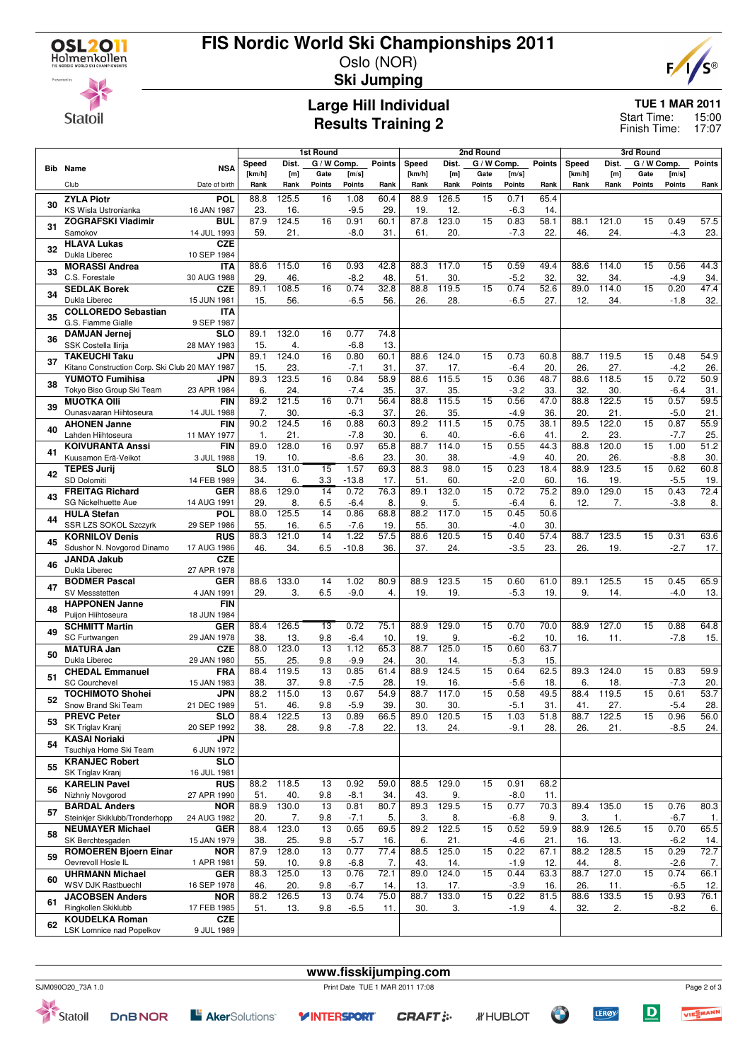

#### **FIS Nordic World Ski Championships 2011** Oslo (NOR)

**Ski Jumping**



**Statoil** 

#### **Large Hill Individual Results Training 2**

**TUE 1 MAR 2011**

15:00 Finish Time: 17:07 Start Time:

|    |                                                   |                           | <b>1st Round</b>    |              |                 |                |                   | 2nd Round   |              |             |                |             | 3rd Round   |              |                 |                |               |
|----|---------------------------------------------------|---------------------------|---------------------|--------------|-----------------|----------------|-------------------|-------------|--------------|-------------|----------------|-------------|-------------|--------------|-----------------|----------------|---------------|
|    |                                                   |                           | Speed               | Dist.        | G / W Comp.     |                | Points            | Speed       | Dist.        | G / W Comp. |                | Points      | Speed       | Dist.        | G / W Comp.     |                | <b>Points</b> |
|    | <b>Bib</b> Name                                   | <b>NSA</b>                | [km/h]              | [m]          | Gate            | [m/s]          |                   | [km/h]      | [m]          | Gate        | [m/s]          |             | [km/h]      | [m]          | Gate            | [m/s]          |               |
|    | Club                                              | Date of birth             | Rank                | Rank         | Points          | Points         | Rank              | Rank        | Rank         | Points      | Points         | Rank        | Rank        | Rank         | Points          | Points         | Rank          |
| 30 | <b>ZYLA Piotr</b>                                 | <b>POL</b>                | 88.8                | 125.5        | 16              | 1.08           | 60.4              | 88.9        | 126.5        | 15          | 0.71           | 65.4        |             |              |                 |                |               |
|    | KS Wisla Ustronianka                              | 16 JAN 1987               | 23.                 | 16.          |                 | $-9.5$         | 29                | 19          | 12.          |             | $-6.3$         | 14.         |             |              |                 |                |               |
| 31 | <b>ZOGRAFSKI Vladimir</b>                         | <b>BUL</b>                | 87.9                | 124.5        | 16              | 0.91           | 60.1              | 87.8        | 123.0        | 15          | 0.83           | 58.1        | 88.1        | 121.0        | 15              | 0.49           | 57.5          |
|    | Samokov                                           | 14 JUL 1993               | 59.                 | 21.          |                 | $-8.0$         | 31                | 61.         | 20.          |             | $-7.3$         | 22.         | 46.         | 24.          |                 | $-4.3$         | 23.           |
| 32 | <b>HLAVA Lukas</b>                                | <b>CZE</b>                |                     |              |                 |                |                   |             |              |             |                |             |             |              |                 |                |               |
|    | Dukla Liberec                                     | 10 SEP 1984               |                     |              |                 |                |                   |             |              |             |                |             |             |              |                 |                |               |
| 33 | <b>MORASSI Andrea</b>                             | <b>ITA</b>                | 88.6                | 115.0        | 16              | 0.93           | 42.8              | 88.3        | 117.0        | 15          | 0.59           | 49.4        | 88.6        | 114.0        | 15              | 0.56           | 44.3          |
|    | C.S. Forestale<br><b>SEDLAK Borek</b>             | 30 AUG 1988<br><b>CZE</b> | 29.<br>89.1         | 46.<br>108.5 | 16              | $-8.2$<br>0.74 | 48.<br>32.8       | 51.<br>88.8 | 30.<br>119.5 | 15          | $-5.2$<br>0.74 | 32.<br>52.6 | 32.<br>89.0 | 34.<br>114.0 | $\overline{15}$ | $-4.9$<br>0.20 | 34.<br>47.4   |
| 34 | Dukla Liberec                                     | 15 JUN 1981               | 15.                 | 56.          |                 | $-6.5$         | 56.               | 26.         | 28.          |             | $-6.5$         | 27.         | 12.         | 34.          |                 | $-1.8$         | 32.           |
|    | <b>COLLOREDO Sebastian</b>                        | ITA                       |                     |              |                 |                |                   |             |              |             |                |             |             |              |                 |                |               |
| 35 | G.S. Fiamme Gialle                                | 9 SEP 1987                |                     |              |                 |                |                   |             |              |             |                |             |             |              |                 |                |               |
|    | <b>DAMJAN Jernej</b>                              | <b>SLO</b>                | 89.1                | 132.0        | 16              | 0.77           | $\overline{74.8}$ |             |              |             |                |             |             |              |                 |                |               |
| 36 | SSK Costella Ilirija                              | 28 MAY 1983               | 15.                 | 4.           |                 | $-6.8$         | 13.               |             |              |             |                |             |             |              |                 |                |               |
|    | <b>TAKEUCHI Taku</b>                              | <b>JPN</b>                | 89.1                | 124.0        | 16              | 0.80           | 60.1              | 88.6        | 124.0        | 15          | 0.73           | 60.8        | 88.7        | 119.5        | 15              | 0.48           | 54.9          |
| 37 | Kitano Construction Corp. Ski Club 20 MAY 1987    |                           | 15.                 | 23.          |                 | $-7.1$         | 31                | 37.         | 17.          |             | $-6.4$         | 20.         | 26.         | 27.          |                 | $-4.2$         | 26.           |
| 38 | <b>YUMOTO Fumihisa</b>                            | JPN                       | 89.3                | 123.5        | 16              | 0.84           | 58.9              | 88.6        | 115.5        | 15          | 0.36           | 48.7        | 88.6        | 118.5        | 15              | 0.72           | 50.9          |
|    | Tokyo Biso Group Ski Team                         | 23 APR 1984               | 6.                  | 24.          |                 | $-7.4$         | 35.               | 37.         | 35.          |             | $-3.2$         | 33.         | 32.         | 30.          |                 | $-6.4$         | 31            |
| 39 | <b>MUOTKA Olli</b>                                | <b>FIN</b>                | 89.2                | 121.5        | $\overline{16}$ | 0.71           | 56.4              | 88.8        | 115.5        | 15          | 0.56           | 47.0        | 88.8        | 122.5        | $\overline{15}$ | 0.57           | 59.5          |
|    | Ounasvaaran Hiihtoseura                           | 14 JUL 1988               | 7.                  | 30.          |                 | $-6.3$         | 37.               | 26.         | 35.          |             | $-4.9$         | 36.         | 20.         | 21.          |                 | $-5.0$         | 21.           |
| 40 | <b>AHONEN Janne</b><br>Lahden Hiihtoseura         | <b>FIN</b>                | 90.2<br>$\mathbf 1$ | 124.5<br>21. | 16              | 0.88           | 60.3              | 89.2        | 111.5        | 15          | 0.75           | 38.1        | 89.5        | 122.0        | 15              | 0.87           | 55.9          |
|    | <b>KOIVURANTA Anssi</b>                           | 11 MAY 1977<br>FIN        | 89.0                | 128.0        | 16              | $-7.8$<br>0.97 | 30<br>65.8        | 6.<br>88.7  | 40<br>114.0  | 15          | $-6.6$<br>0.55 | 41<br>44.3  | 2.<br>88.8  | 23.<br>120.0 | 15              | $-7.7$<br>1.00 | 25.<br>51.2   |
| 41 | Kuusamon Erä-Veikot                               | 3 JUL 1988                | 19.                 | 10.          |                 | $-8.6$         | 23.               | 30.         | 38.          |             | $-4.9$         | 40.         | 20.         | 26.          |                 | $-8.8$         | 30.           |
|    | <b>TEPES Jurij</b>                                | <b>SLO</b>                | 88.5                | 131.0        | $\overline{15}$ | 1.57           | 69.3              | 88.3        | 98.0         | 15          | 0.23           | 18.4        | 88.9        | 123.5        | $\overline{15}$ | 0.62           | 60.8          |
| 42 | SD Dolomiti                                       | 14 FEB 1989               | 34.                 | 6.           | 3.3             | $-13.8$        | 17.               | 51.         | 60.          |             | $-2.0$         | 60.         | 16.         | 19.          |                 | $-5.5$         | 19.           |
|    | <b>FREITAG Richard</b>                            | <b>GER</b>                | 88.6                | 129.0        | 14              | 0.72           | 76.3              | 89.1        | 132.0        | 15          | 0.72           | 75.2        | 89.0        | 129.0        | 15              | 0.43           | 72.4          |
| 43 | SG Nickelhuette Aue                               | 14 AUG 1991               | 29.                 | 8.           | 6.5             | $-6.4$         | 8.                | 9.          | 5.           |             | $-6.4$         | 6.          | 12.         | 7.           |                 | $-3.8$         | 8.            |
|    | <b>HULA Stefan</b>                                | <b>POL</b>                | 88.0                | 125.5        | 14              | 0.86           | 68.8              | 88.2        | 117.0        | 15          | 0.45           | 50.6        |             |              |                 |                |               |
| 44 | <b>SSR LZS SOKOL Szczyrk</b>                      | 29 SEP 1986               | 55.                 | 16.          | 6.5             | $-7.6$         | 19.               | 55.         | 30.          |             | $-4.0$         | 30.         |             |              |                 |                |               |
| 45 | <b>KORNILOV Denis</b>                             | <b>RUS</b>                | 88.3                | 121.0        | 14              | 1.22           | 57.5              | 88.6        | 120.5        | 15          | 0.40           | 57.4        | 88.7        | 123.5        | 15              | 0.31           | 63.6          |
|    | Sdushor N. Novgorod Dinamo                        | 17 AUG 1986               | 46.                 | 34.          | 6.5             | $-10.8$        | 36.               | 37.         | 24.          |             | $-3.5$         | 23.         | 26.         | 19.          |                 | $-2.7$         | 17.           |
| 46 | <b>JANDA Jakub</b>                                | <b>CZE</b>                |                     |              |                 |                |                   |             |              |             |                |             |             |              |                 |                |               |
|    | Dukla Liberec                                     | 27 APR 1978               |                     |              |                 |                |                   |             |              |             |                |             |             |              |                 |                |               |
| 47 | <b>BODMER Pascal</b>                              | <b>GER</b>                | 88.6                | 133.0        | 14              | 1.02           | 80.9              | 88.9        | 123.5        | 15          | 0.60           | 61.0        | 89.1        | 125.5        | 15              | 0.45           | 65.9          |
|    | SV Messstetten                                    | 4 JAN 1991                | 29.                 | 3.           | 6.5             | $-9.0$         | 4.                | 19.         | 19.          |             | $-5.3$         | 19.         | 9.          | 14.          |                 | $-4.0$         | 13.           |
| 48 | <b>HAPPONEN Janne</b><br>Puijon Hiihtoseura       | <b>FIN</b><br>18 JUN 1984 |                     |              |                 |                |                   |             |              |             |                |             |             |              |                 |                |               |
|    | <b>SCHMITT Martin</b>                             | <b>GER</b>                | 88.4                | 126.5        | 13              | 0.72           | 75.1              | 88.9        | 129.0        | 15          | 0.70           | 70.0        | 88.9        | 127.0        | 15              | 0.88           | 64.8          |
| 49 | SC Furtwangen                                     | 29 JAN 1978               | 38.                 | 13.          | 9.8             | $-6.4$         | 10.               | 19.         | 9.           |             | $-6.2$         | 10.         | 16.         | 11.          |                 | $-7.8$         | 15.           |
|    | <b>MATURA Jan</b>                                 | <b>CZE</b>                | 88.0                | 123.0        | 13              | 1.12           | 65.3              | 88.7        | 125.0        | 15          | 0.60           | 63.7        |             |              |                 |                |               |
| 50 | Dukla Liberec                                     | 29 JAN 1980               | 55.                 | 25.          | 9.8             | $-9.9$         | 24.               | 30.         | 14.          |             | $-5.3$         | 15.         |             |              |                 |                |               |
|    | <b>CHEDAL Emmanuel</b>                            | <b>FRA</b>                | 88.4                | 119.5        | 13              | 0.85           | 61.4              | 88.9        | 124.5        | 15          | 0.64           | 62.5        | 89.3        | 124.0        | 15              | 0.83           | 59.9          |
| 51 | <b>SC Courchevel</b>                              | 15 JAN 1983               | 38.                 | 37.          | 9.8             | $-7.5$         | 28.               | 19          | 16.          |             | $-5.6$         | 18.         | 6.          | 18.          |                 | $-7.3$         | 20.           |
| 52 | <b>TOCHIMOTO Shohei</b>                           | <b>JPN</b>                | 88.2                | 115.0        | 13              | 0.67           | 54.9              | 88.7        | 117.0        | 15          | 0.58           | 49.5        | 88.4        | 119.5        | 15              | 0.61           | 53.7          |
|    | Snow Brand Ski Team                               | 21 DEC 1989               | 51                  | 46           | 9.8             | $-5.9$         | 39.               | 30          | 30           |             | $-5.1$         | 31.         | 41          | 27           |                 | $-5.4$         | 28            |
| 53 | <b>PREVC Peter</b>                                | <b>SLO</b>                | 88.4                | 122.5        | 13              | 0.89           | 66.5              | 89.0        | 120.5        | 15          | 1.03           | 51.8        | 88.7        | 122.5        | 15              | 0.96           | 56.0          |
|    | SK Triglav Kranj                                  | 20 SEP 1992               | 38.                 | 28.          | 9.8             | $-7.8$         | 22.               | 13.         | 24.          |             | $-9.1$         | 28.         | 26.         | 21.          |                 | $-8.5$         | 24.           |
| 54 | <b>KASAI Noriaki</b>                              | <b>JPN</b>                |                     |              |                 |                |                   |             |              |             |                |             |             |              |                 |                |               |
|    | Tsuchiya Home Ski Team<br><b>KRANJEC Robert</b>   | 6 JUN 1972<br><b>SLO</b>  |                     |              |                 |                |                   |             |              |             |                |             |             |              |                 |                |               |
| 55 | SK Triglav Kranj                                  | 16 JUL 1981               |                     |              |                 |                |                   |             |              |             |                |             |             |              |                 |                |               |
|    | <b>KARELIN Pavel</b>                              | <b>RUS</b>                | 88.2                | 118.5        | 13              | 0.92           | 59.0              | 88.5        | 129.0        | 15          | 0.91           | 68.2        |             |              |                 |                |               |
| 56 | Nizhniy Novgorod                                  | 27 APR 1990               | 51.                 | 40.          | 9.8             | $-8.1$         | 34.               | 43.         | 9.           |             | $-8.0$         | 11.         |             |              |                 |                |               |
|    | <b>BARDAL Anders</b>                              | <b>NOR</b>                | 88.9                | 130.0        | 13              | 0.81           | 80.7              | 89.3        | 129.5        | 15          | 0.77           | 70.3        | 89.4        | 135.0        | 15              | 0.76           | 80.3          |
| 57 | Steinkier Skiklubb/Tronderhopp                    | 24 AUG 1982               | 20.                 | 7.           | 9.8             | $-7.1$         | 5.                | 3.          | 8.           |             | $-6.8$         | 9.          | 3.          | 1.           |                 | $-6.7$         | -1.           |
|    | <b>NEUMAYER Michael</b>                           | <b>GER</b>                | 88.4                | 123.0        | 13              | 0.65           | 69.5              | 89.2        | 122.5        | 15          | 0.52           | 59.9        | 88.9        | 126.5        | $\overline{15}$ | 0.70           | 65.5          |
| 58 | SK Berchtesgaden                                  | 15 JAN 1979               | 38.                 | 25.          | 9.8             | $-5.7$         | 16.               | 6.          | 21.          |             | -4.6           | 21.         | 16.         | 13.          |                 | $-6.2$         | 14.           |
| 59 | <b>ROMOEREN Bjoern Einar</b>                      | <b>NOR</b>                | 87.9                | 128.0        | 13              | 0.77           | 77.4              | 88.5        | 125.0        | 15          | 0.22           | 67.1        | 88.2        | 128.5        | 15              | 0.29           | 72.7          |
|    | Oevrevoll Hosle IL                                | 1 APR 1981                | 59.                 | 10.          | 9.8             | $-6.8$         | 7.                | 43.         | 14.          |             | $-1.9$         | 12.         | 44.         | 8.           |                 | $-2.6$         | 7.            |
| 60 | <b>UHRMANN Michael</b>                            | <b>GER</b>                | 88.3                | 125.0        | 13              | 0.76           | 72.1              | 89.0        | 124.0        | 15          | 0.44           | 63.3        | 88.7        | 127.0        | 15              | 0.74           | 66.1          |
|    | WSV DJK Rastbuechl                                | 16 SEP 1978               | 46.                 | 20.          | 9.8             | $-6.7$         | 14.               | 13.         | 17.          |             | $-3.9$         | 16.         | 26.         | 11.          |                 | $-6.5$         | 12.           |
| 61 | <b>JACOBSEN Anders</b>                            | <b>NOR</b>                | 88.2                | 126.5        | 13              | 0.74           | 75.0              | 88.7        | 133.0        | 15          | 0.22           | 81.5        | 88.6        | 133.5        | 15              | 0.93           | 76.1          |
|    | Ringkollen Skiklubb                               | 17 FEB 1985<br><b>CZE</b> | 51.                 | 13.          | 9.8             | $-6.5$         | 11.               | 30.         | 3.           |             | $-1.9$         | 4.          | 32.         | 2.           |                 | $-8.2$         | 6.            |
| 62 | <b>KOUDELKA Roman</b><br>LSK Lomnice nad Popelkov | 9 JUL 1989                |                     |              |                 |                |                   |             |              |             |                |             |             |              |                 |                |               |
|    |                                                   |                           |                     |              |                 |                |                   |             |              |             |                |             |             |              |                 |                |               |